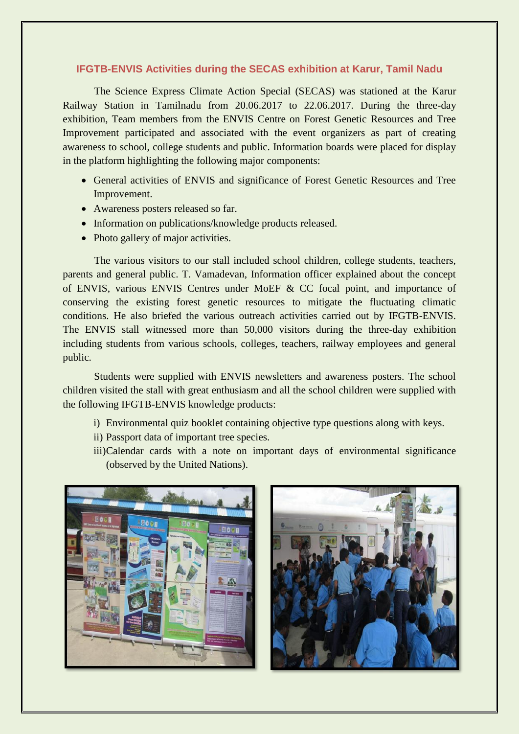## **IFGTB-ENVIS Activities during the SECAS exhibition at Karur, Tamil Nadu**

The Science Express Climate Action Special (SECAS) was stationed at the Karur Railway Station in Tamilnadu from 20.06.2017 to 22.06.2017. During the three-day exhibition, Team members from the ENVIS Centre on Forest Genetic Resources and Tree Improvement participated and associated with the event organizers as part of creating awareness to school, college students and public. Information boards were placed for display in the platform highlighting the following major components:

- General activities of ENVIS and significance of Forest Genetic Resources and Tree Improvement.
- Awareness posters released so far.
- Information on publications/knowledge products released.
- Photo gallery of major activities.

The various visitors to our stall included school children, college students, teachers, parents and general public. T. Vamadevan, Information officer explained about the concept of ENVIS, various ENVIS Centres under MoEF & CC focal point, and importance of conserving the existing forest genetic resources to mitigate the fluctuating climatic conditions. He also briefed the various outreach activities carried out by IFGTB-ENVIS. The ENVIS stall witnessed more than 50,000 visitors during the three-day exhibition including students from various schools, colleges, teachers, railway employees and general public.

Students were supplied with ENVIS newsletters and awareness posters. The school children visited the stall with great enthusiasm and all the school children were supplied with the following IFGTB-ENVIS knowledge products:

- i) Environmental quiz booklet containing objective type questions along with keys.
- ii) Passport data of important tree species.
- iii)Calendar cards with a note on important days of environmental significance (observed by the United Nations).



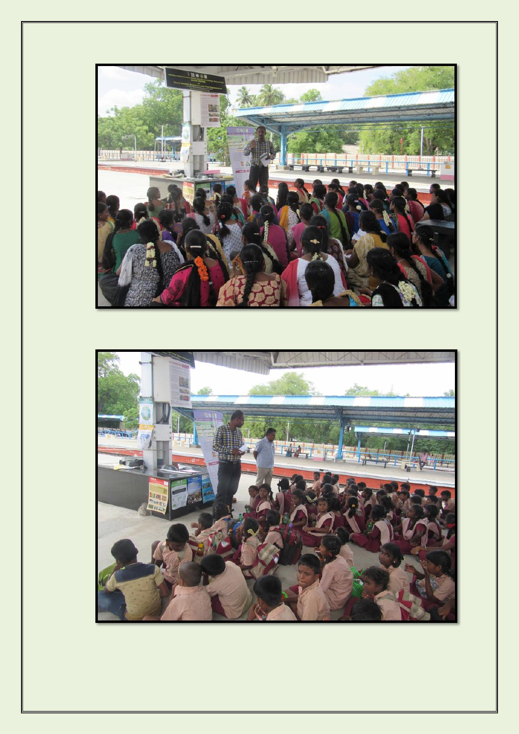